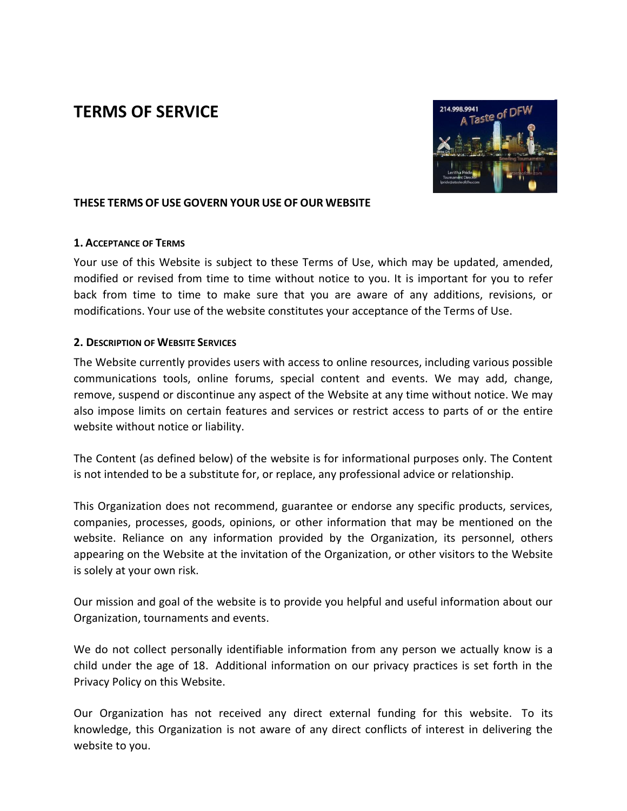# **TERMS OF SERVICE**



#### **THESE TERMS OF USE GOVERN YOUR USE OF OUR WEBSITE**

#### **1. ACCEPTANCE OF TERMS**

Your use of this Website is subject to these Terms of Use, which may be updated, amended, modified or revised from time to time without notice to you. It is important for you to refer back from time to time to make sure that you are aware of any additions, revisions, or modifications. Your use of the website constitutes your acceptance of the Terms of Use.

#### **2. DESCRIPTION OF WEBSITE SERVICES**

The Website currently provides users with access to online resources, including various possible communications tools, online forums, special content and events. We may add, change, remove, suspend or discontinue any aspect of the Website at any time without notice. We may also impose limits on certain features and services or restrict access to parts of or the entire website without notice or liability.

The Content (as defined below) of the website is for informational purposes only. The Content is not intended to be a substitute for, or replace, any professional advice or relationship.

This Organization does not recommend, guarantee or endorse any specific products, services, companies, processes, goods, opinions, or other information that may be mentioned on the website. Reliance on any information provided by the Organization, its personnel, others appearing on the Website at the invitation of the Organization, or other visitors to the Website is solely at your own risk.

Our mission and goal of the website is to provide you helpful and useful information about our Organization, tournaments and events.

We do not collect personally identifiable information from any person we actually know is a child under the age of 18. Additional information on our privacy practices is set forth in the Privacy Policy on this Website.

Our Organization has not received any direct external funding for this website. To its knowledge, this Organization is not aware of any direct conflicts of interest in delivering the website to you.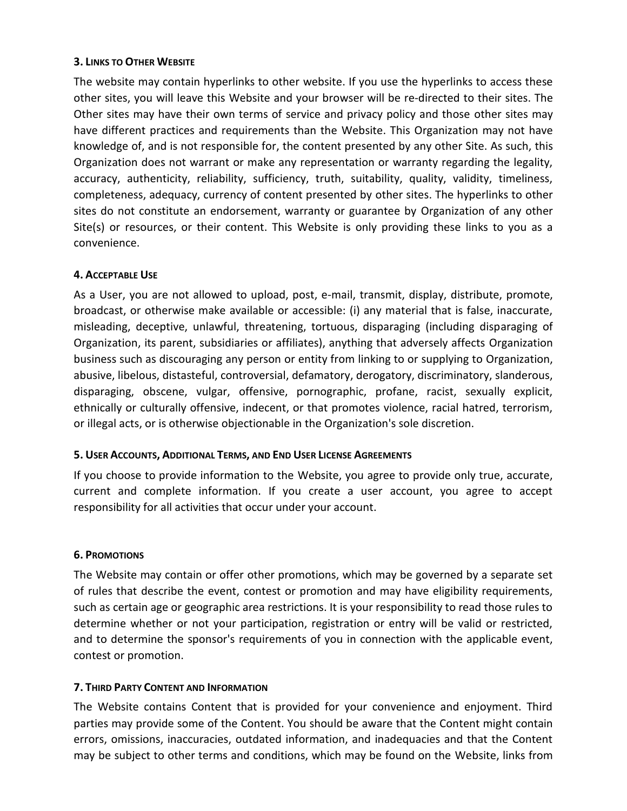### **3. LINKS TO OTHER WEBSITE**

The website may contain hyperlinks to other website. If you use the hyperlinks to access these other sites, you will leave this Website and your browser will be re-directed to their sites. The Other sites may have their own terms of service and privacy policy and those other sites may have different practices and requirements than the Website. This Organization may not have knowledge of, and is not responsible for, the content presented by any other Site. As such, this Organization does not warrant or make any representation or warranty regarding the legality, accuracy, authenticity, reliability, sufficiency, truth, suitability, quality, validity, timeliness, completeness, adequacy, currency of content presented by other sites. The hyperlinks to other sites do not constitute an endorsement, warranty or guarantee by Organization of any other Site(s) or resources, or their content. This Website is only providing these links to you as a convenience.

# **4. ACCEPTABLE USE**

As a User, you are not allowed to upload, post, e-mail, transmit, display, distribute, promote, broadcast, or otherwise make available or accessible: (i) any material that is false, inaccurate, misleading, deceptive, unlawful, threatening, tortuous, disparaging (including disparaging of Organization, its parent, subsidiaries or affiliates), anything that adversely affects Organization business such as discouraging any person or entity from linking to or supplying to Organization, abusive, libelous, distasteful, controversial, defamatory, derogatory, discriminatory, slanderous, disparaging, obscene, vulgar, offensive, pornographic, profane, racist, sexually explicit, ethnically or culturally offensive, indecent, or that promotes violence, racial hatred, terrorism, or illegal acts, or is otherwise objectionable in the Organization's sole discretion.

#### **5. USER ACCOUNTS, ADDITIONAL TERMS, AND END USER LICENSE AGREEMENTS**

If you choose to provide information to the Website, you agree to provide only true, accurate, current and complete information. If you create a user account, you agree to accept responsibility for all activities that occur under your account.

#### **6. PROMOTIONS**

The Website may contain or offer other promotions, which may be governed by a separate set of rules that describe the event, contest or promotion and may have eligibility requirements, such as certain age or geographic area restrictions. It is your responsibility to read those rules to determine whether or not your participation, registration or entry will be valid or restricted, and to determine the sponsor's requirements of you in connection with the applicable event, contest or promotion.

# **7. THIRD PARTY CONTENT AND INFORMATION**

The Website contains Content that is provided for your convenience and enjoyment. Third parties may provide some of the Content. You should be aware that the Content might contain errors, omissions, inaccuracies, outdated information, and inadequacies and that the Content may be subject to other terms and conditions, which may be found on the Website, links from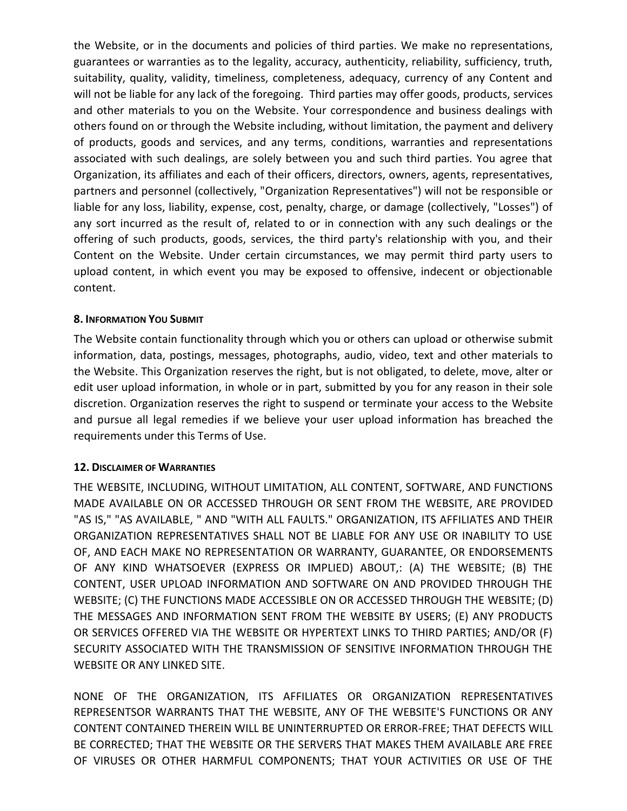the Website, or in the documents and policies of third parties. We make no representations, guarantees or warranties as to the legality, accuracy, authenticity, reliability, sufficiency, truth, suitability, quality, validity, timeliness, completeness, adequacy, currency of any Content and will not be liable for any lack of the foregoing. Third parties may offer goods, products, services and other materials to you on the Website. Your correspondence and business dealings with others found on or through the Website including, without limitation, the payment and delivery of products, goods and services, and any terms, conditions, warranties and representations associated with such dealings, are solely between you and such third parties. You agree that Organization, its affiliates and each of their officers, directors, owners, agents, representatives, partners and personnel (collectively, "Organization Representatives") will not be responsible or liable for any loss, liability, expense, cost, penalty, charge, or damage (collectively, "Losses") of any sort incurred as the result of, related to or in connection with any such dealings or the offering of such products, goods, services, the third party's relationship with you, and their Content on the Website. Under certain circumstances, we may permit third party users to upload content, in which event you may be exposed to offensive, indecent or objectionable content.

#### **8. INFORMATION YOU SUBMIT**

The Website contain functionality through which you or others can upload or otherwise submit information, data, postings, messages, photographs, audio, video, text and other materials to the Website. This Organization reserves the right, but is not obligated, to delete, move, alter or edit user upload information, in whole or in part, submitted by you for any reason in their sole discretion. Organization reserves the right to suspend or terminate your access to the Website and pursue all legal remedies if we believe your user upload information has breached the requirements under this Terms of Use.

#### **12. DISCLAIMER OF WARRANTIES**

THE WEBSITE, INCLUDING, WITHOUT LIMITATION, ALL CONTENT, SOFTWARE, AND FUNCTIONS MADE AVAILABLE ON OR ACCESSED THROUGH OR SENT FROM THE WEBSITE, ARE PROVIDED "AS IS," "AS AVAILABLE, " AND "WITH ALL FAULTS." ORGANIZATION, ITS AFFILIATES AND THEIR ORGANIZATION REPRESENTATIVES SHALL NOT BE LIABLE FOR ANY USE OR INABILITY TO USE OF, AND EACH MAKE NO REPRESENTATION OR WARRANTY, GUARANTEE, OR ENDORSEMENTS OF ANY KIND WHATSOEVER (EXPRESS OR IMPLIED) ABOUT,: (A) THE WEBSITE; (B) THE CONTENT, USER UPLOAD INFORMATION AND SOFTWARE ON AND PROVIDED THROUGH THE WEBSITE; (C) THE FUNCTIONS MADE ACCESSIBLE ON OR ACCESSED THROUGH THE WEBSITE; (D) THE MESSAGES AND INFORMATION SENT FROM THE WEBSITE BY USERS; (E) ANY PRODUCTS OR SERVICES OFFERED VIA THE WEBSITE OR HYPERTEXT LINKS TO THIRD PARTIES; AND/OR (F) SECURITY ASSOCIATED WITH THE TRANSMISSION OF SENSITIVE INFORMATION THROUGH THE WEBSITE OR ANY LINKED SITE.

NONE OF THE ORGANIZATION, ITS AFFILIATES OR ORGANIZATION REPRESENTATIVES REPRESENTSOR WARRANTS THAT THE WEBSITE, ANY OF THE WEBSITE'S FUNCTIONS OR ANY CONTENT CONTAINED THEREIN WILL BE UNINTERRUPTED OR ERROR-FREE; THAT DEFECTS WILL BE CORRECTED; THAT THE WEBSITE OR THE SERVERS THAT MAKES THEM AVAILABLE ARE FREE OF VIRUSES OR OTHER HARMFUL COMPONENTS; THAT YOUR ACTIVITIES OR USE OF THE